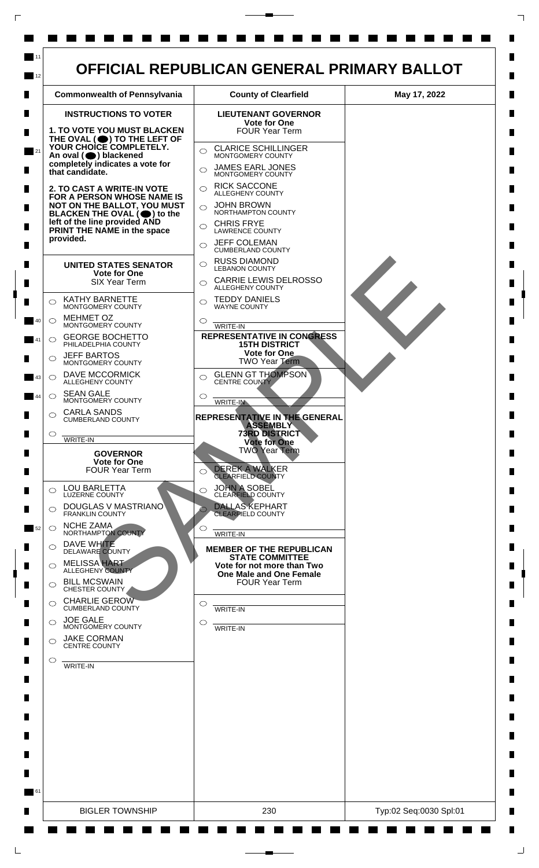

 $\mathsf{L}$ 

 $\Box$